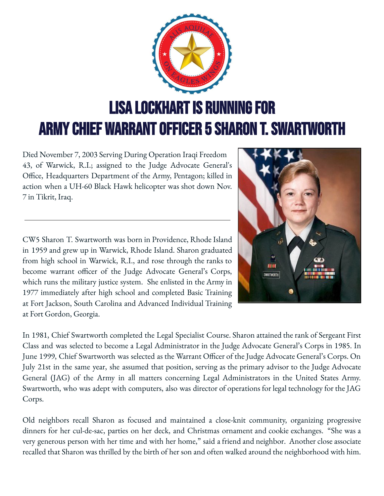

Died November 7, 2003 Serving During Operation Iraqi Freedom 43, of Warwick, R.I.; assigned to the Judge Advocate General's Office, Headquarters Department of the Army, Pentagon; killed in action when a UH-60 Black Hawk helicopter was shot down Nov. 7 in Tikrit, Iraq.

CW5 Sharon T. Swartworth was born in Providence, Rhode Island in 1959 and grew up in Warwick, Rhode Island. Sharon graduated from high school in Warwick, R.I., and rose through the ranks to become warrant officer of the Judge Advocate General's Corps, which runs the military justice system. She enlisted in the Army in 1977 immediately after high school and completed Basic Training at Fort Jackson, South Carolina and Advanced Individual Training at Fort Gordon, Georgia.



In 1981, Chief Swartworth completed the Legal Specialist Course. Sharon attained the rank of Sergeant First Class and was selected to become a Legal Administrator in the Judge Advocate General's Corps in 1985. In June 1999, Chief Swartworth was selected as the Warrant Officer of the Judge Advocate General's Corps. On July 21st in the same year, she assumed that position, serving as the primary advisor to the Judge Advocate General (JAG) of the Army in all matters concerning Legal Administrators in the United States Army. Swartworth, who was adept with computers, also was director of operations for legal technology for the JAG Corps.

Old neighbors recall Sharon as focused and maintained a close-knit community, organizing progressive dinners for her cul-de-sac, parties on her deck, and Christmas ornament and cookie exchanges. "She was a very generous person with her time and with her home," said a friend and neighbor. Another close associate recalled that Sharon was thrilled by the birth of her son and often walked around the neighborhood with him.